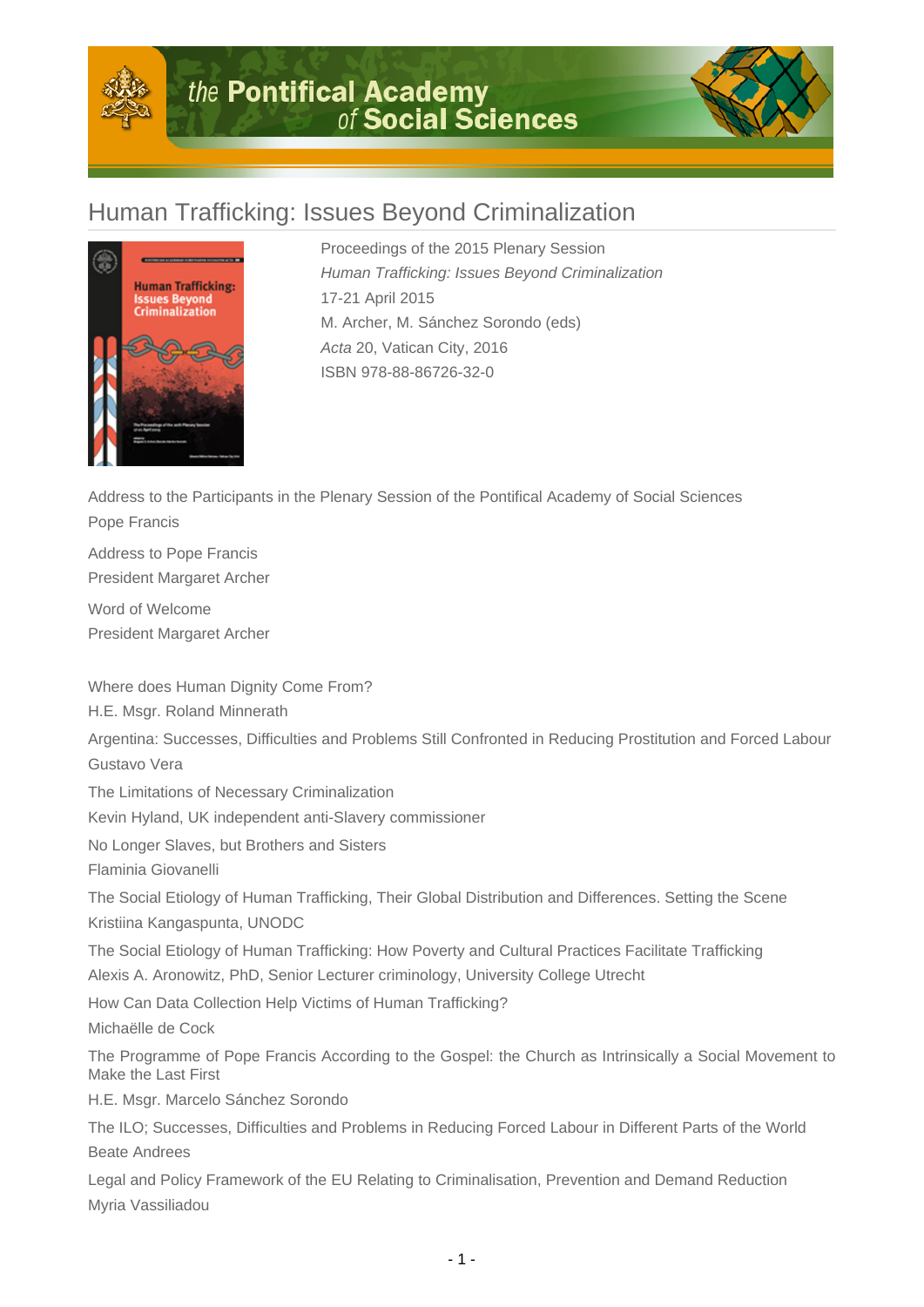



## Human Trafficking: Issues Beyond Criminalization



Proceedings of the 2015 Plenary Session Human Trafficking: Issues Beyond Criminalization 17-21 April 2015 M. Archer, M. Sánchez Sorondo (eds) Acta 20, Vatican City, 2016 ISBN 978-88-86726-32-0

Address to the Participants in the Plenary Session of the Pontifical Academy of Social Sciences Pope Francis

Address to Pope Francis President Margaret Archer

Word of Welcome President Margaret Archer

Where does Human Dignity Come From?

H.E. Msgr. Roland Minnerath

Argentina: Successes, Difficulties and Problems Still Confronted in Reducing Prostitution and Forced Labour Gustavo Vera

The Limitations of Necessary Criminalization

Kevin Hyland, UK independent anti-Slavery commissioner

No Longer Slaves, but Brothers and Sisters

Flaminia Giovanelli

The Social Etiology of Human Trafficking, Their Global Distribution and Differences. Setting the Scene Kristiina Kangaspunta, UNODC

The Social Etiology of Human Trafficking: How Poverty and Cultural Practices Facilitate Trafficking Alexis A. Aronowitz, PhD, Senior Lecturer criminology, University College Utrecht

How Can Data Collection Help Victims of Human Trafficking? Michaëlle de Cock

The Programme of Pope Francis According to the Gospel: the Church as Intrinsically a Social Movement to Make the Last First

H.E. Msgr. Marcelo Sánchez Sorondo

The ILO; Successes, Difficulties and Problems in Reducing Forced Labour in Different Parts of the World Beate Andrees

Legal and Policy Framework of the EU Relating to Criminalisation, Prevention and Demand Reduction Myria Vassiliadou